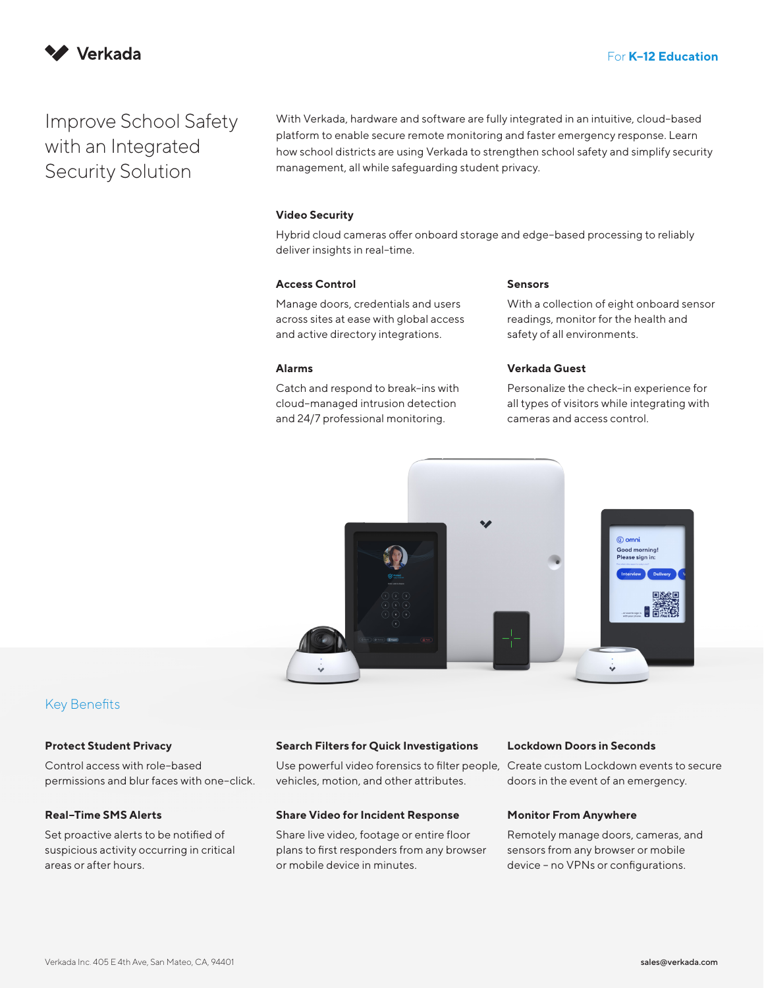

# Improve School Safety with an Integrated Security Solution

With Verkada, hardware and software are fully integrated in an intuitive, cloud–based platform to enable secure remote monitoring and faster emergency response. Learn how school districts are using Verkada to strengthen school safety and simplify security management, all while safeguarding student privacy.

## **Video Security**

Hybrid cloud cameras offer onboard storage and edge–based processing to reliably deliver insights in real–time.

#### **Access Control**

Manage doors, credentials and users across sites at ease with global access and active directory integrations.

## **Alarms**

Catch and respond to break–ins with cloud–managed intrusion detection and 24/7 professional monitoring.

#### **Sensors**

With a collection of eight onboard sensor readings, monitor for the health and safety of all environments.

## **Verkada Guest**

Personalize the check–in experience for all types of visitors while integrating with cameras and access control.



# Key Benefits

#### **Protect Student Privacy**

Control access with role–based permissions and blur faces with one–click.

## **Real–Time SMS Alerts**

Set proactive alerts to be notified of suspicious activity occurring in critical areas or after hours.

#### **Search Filters for Quick Investigations**

Use powerful video forensics to filter people, vehicles, motion, and other attributes.

#### **Share Video for Incident Response**

Share live video, footage or entire floor plans to first responders from any browser or mobile device in minutes.

#### **Lockdown Doors in Seconds**

Create custom Lockdown events to secure doors in the event of an emergency.

#### **Monitor From Anywhere**

Remotely manage doors, cameras, and sensors from any browser or mobile device – no VPNs or configurations.